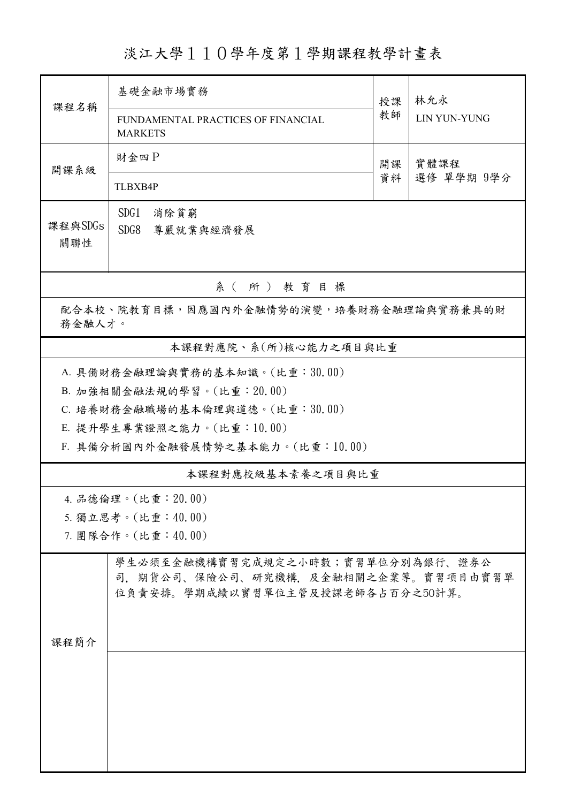淡江大學110學年度第1學期課程教學計畫表

| 課程名稱                                              | 基礎金融市場實務<br>授課                                       |    | 林允永                 |  |  |  |  |  |
|---------------------------------------------------|------------------------------------------------------|----|---------------------|--|--|--|--|--|
|                                                   | FUNDAMENTAL PRACTICES OF FINANCIAL<br><b>MARKETS</b> | 教師 | <b>LIN YUN-YUNG</b> |  |  |  |  |  |
| 開課系級                                              | 財金四P                                                 | 開課 | 實體課程<br>選修 單學期 9學分  |  |  |  |  |  |
|                                                   | <b>TLBXB4P</b>                                       | 資料 |                     |  |  |  |  |  |
| 課程與SDGs                                           | SDG1<br>消除貧窮<br>SDG8<br>尊嚴就業與經濟發展                    |    |                     |  |  |  |  |  |
| 關聯性                                               |                                                      |    |                     |  |  |  |  |  |
| 系(所)教育目標                                          |                                                      |    |                     |  |  |  |  |  |
| 配合本校、院教育目標,因應國內外金融情勢的演變,培養財務金融理論與實務兼具的財<br>務金融人才。 |                                                      |    |                     |  |  |  |  |  |
| 本課程對應院、系(所)核心能力之項目與比重                             |                                                      |    |                     |  |  |  |  |  |
| A. 具備財務金融理論與實務的基本知識。(比重:30.00)                    |                                                      |    |                     |  |  |  |  |  |
|                                                   | B. 加強相關金融法規的學習。(比重: 20.00)                           |    |                     |  |  |  |  |  |
|                                                   | C. 培養財務金融職場的基本倫理與道德。(比重:30.00)                       |    |                     |  |  |  |  |  |
|                                                   | E. 提升學生專業證照之能力。(比重:10.00)                            |    |                     |  |  |  |  |  |
|                                                   | F. 具備分析國內外金融發展情勢之基本能力。(比重:10.00)                     |    |                     |  |  |  |  |  |
| 本課程對應校級基本素養之項目與比重                                 |                                                      |    |                     |  |  |  |  |  |
|                                                   | 4. 品德倫理。(比重: 20.00)                                  |    |                     |  |  |  |  |  |
| 5. 獨立思考。(比重:40.00)                                |                                                      |    |                     |  |  |  |  |  |
| 7. 團隊合作。(比重:40.00)                                |                                                      |    |                     |  |  |  |  |  |
|                                                   | 學生必須至金融機構實習完成規定之小時數;實習單位分別為銀行、證券公                    |    |                     |  |  |  |  |  |
| 司,期貨公司、保險公司、研究機構,及金融相關之企業等。實習項目由實習單               |                                                      |    |                     |  |  |  |  |  |
|                                                   | 位負責安排。學期成績以實習單位主管及授課老師各占百分之50計算。                     |    |                     |  |  |  |  |  |
|                                                   |                                                      |    |                     |  |  |  |  |  |
| 課程簡介                                              |                                                      |    |                     |  |  |  |  |  |
|                                                   |                                                      |    |                     |  |  |  |  |  |
|                                                   |                                                      |    |                     |  |  |  |  |  |
|                                                   |                                                      |    |                     |  |  |  |  |  |
|                                                   |                                                      |    |                     |  |  |  |  |  |
|                                                   |                                                      |    |                     |  |  |  |  |  |
|                                                   |                                                      |    |                     |  |  |  |  |  |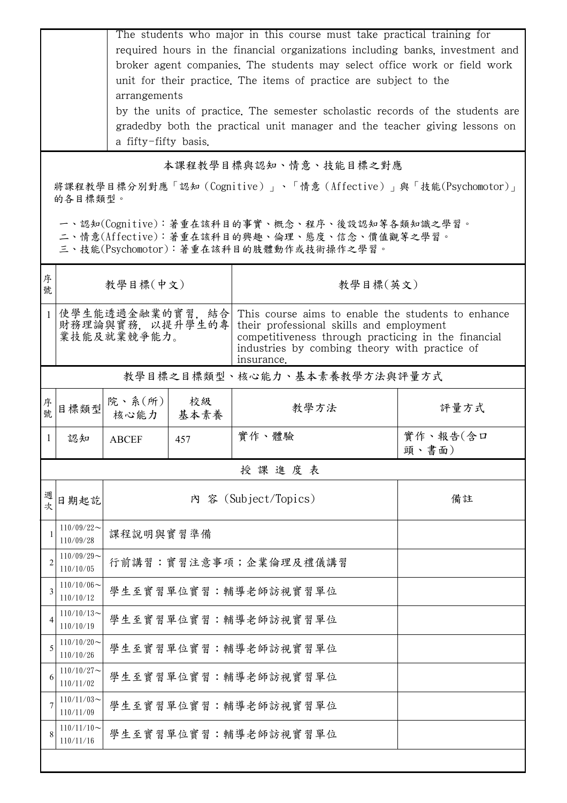|                | The students who major in this course must take practical training for<br>required hours in the financial organizations including banks, investment and<br>broker agent companies. The students may select office work or field work<br>unit for their practice. The items of practice are subject to the<br>arrangements<br>by the units of practice. The semester scholastic records of the students are<br>graded by both the practical unit manager and the teacher giving lessons on<br>a fifty-fifty basis.<br>本課程教學目標與認知、情意、技能目標之對應<br>將課程教學目標分別對應「認知 (Cognitive)」、「情意 (Affective)」與「技能(Psychomotor)」<br>的各目標類型。<br>一、認知(Cognitive):著重在該科目的事實、概念、程序、後設認知等各類知識之學習。<br>二、情意(Affective):著重在該科目的興趣、倫理、態度、信念、價值觀等之學習。 |                           |            |                                                                                                                                                                                                                      |                   |  |  |  |
|----------------|-------------------------------------------------------------------------------------------------------------------------------------------------------------------------------------------------------------------------------------------------------------------------------------------------------------------------------------------------------------------------------------------------------------------------------------------------------------------------------------------------------------------------------------------------------------------------------------------------------------------------------------------------------------------------------------------------------------------------|---------------------------|------------|----------------------------------------------------------------------------------------------------------------------------------------------------------------------------------------------------------------------|-------------------|--|--|--|
|                | 三、技能(Psychomotor):著重在該科目的肢體動作或技術操作之學習。                                                                                                                                                                                                                                                                                                                                                                                                                                                                                                                                                                                                                                                                                  |                           |            |                                                                                                                                                                                                                      |                   |  |  |  |
| 序<br>號         |                                                                                                                                                                                                                                                                                                                                                                                                                                                                                                                                                                                                                                                                                                                         | 教學目標(中文)                  |            | 教學目標(英文)                                                                                                                                                                                                             |                   |  |  |  |
|                | 1 使學生能透過金融業的實習,結合<br>財務理論與實務, 以提升學生的專<br>業技能及就業競爭能力。                                                                                                                                                                                                                                                                                                                                                                                                                                                                                                                                                                                                                                                                    |                           |            | This course aims to enable the students to enhance<br>their professional skills and employment<br>competitiveness through practicing in the financial<br>industries by combing theory with practice of<br>insurance. |                   |  |  |  |
|                | 教學目標之目標類型、核心能力、基本素養教學方法與評量方式                                                                                                                                                                                                                                                                                                                                                                                                                                                                                                                                                                                                                                                                                            |                           |            |                                                                                                                                                                                                                      |                   |  |  |  |
| 序號             | 目標類型                                                                                                                                                                                                                                                                                                                                                                                                                                                                                                                                                                                                                                                                                                                    | 院、系 $(\text{ff})$<br>核心能力 | 校級<br>基本素養 | 教學方法                                                                                                                                                                                                                 | 評量方式              |  |  |  |
| $\mathbf{1}$   | 認知                                                                                                                                                                                                                                                                                                                                                                                                                                                                                                                                                                                                                                                                                                                      | <b>ABCEF</b>              | 457        | 實作、體驗                                                                                                                                                                                                                | 實作、報告(含口<br>頭、書面) |  |  |  |
|                | 授課進度表                                                                                                                                                                                                                                                                                                                                                                                                                                                                                                                                                                                                                                                                                                                   |                           |            |                                                                                                                                                                                                                      |                   |  |  |  |
| 週<br>欤         | 日期起訖                                                                                                                                                                                                                                                                                                                                                                                                                                                                                                                                                                                                                                                                                                                    | 內 容 (Subject/Topics)      |            |                                                                                                                                                                                                                      | 備註                |  |  |  |
| 1              | $110/09/22$ ~<br>110/09/28                                                                                                                                                                                                                                                                                                                                                                                                                                                                                                                                                                                                                                                                                              | 课程說明與實習準備                 |            |                                                                                                                                                                                                                      |                   |  |  |  |
| $\overline{c}$ | $110/09/29$ ~<br>110/10/05                                                                                                                                                                                                                                                                                                                                                                                                                                                                                                                                                                                                                                                                                              | 行前講習:實習注意事項;企業倫理及禮儀講習     |            |                                                                                                                                                                                                                      |                   |  |  |  |
| 3              | $110/10/06 \sim$<br>110/10/12                                                                                                                                                                                                                                                                                                                                                                                                                                                                                                                                                                                                                                                                                           | 學生至實習單位實習:輔導老師訪視實習單位      |            |                                                                                                                                                                                                                      |                   |  |  |  |
|                | $110/10/13$ ~<br>110/10/19                                                                                                                                                                                                                                                                                                                                                                                                                                                                                                                                                                                                                                                                                              | 學生至實習單位實習:輔導老師訪視實習單位      |            |                                                                                                                                                                                                                      |                   |  |  |  |
| 5              | $110/10/20$ ~<br>110/10/26                                                                                                                                                                                                                                                                                                                                                                                                                                                                                                                                                                                                                                                                                              | 學生至實習單位實習:輔導老師訪視實習單位      |            |                                                                                                                                                                                                                      |                   |  |  |  |
| 6              | $110/10/27$ ~<br>110/11/02                                                                                                                                                                                                                                                                                                                                                                                                                                                                                                                                                                                                                                                                                              | 學生至實習單位實習:輔導老師訪視實習單位      |            |                                                                                                                                                                                                                      |                   |  |  |  |
|                | $110/11/03$ ~<br>110/11/09                                                                                                                                                                                                                                                                                                                                                                                                                                                                                                                                                                                                                                                                                              | 學生至實習單位實習:輔導老師訪視實習單位      |            |                                                                                                                                                                                                                      |                   |  |  |  |
|                | $110/11/10$ ~<br>110/11/16                                                                                                                                                                                                                                                                                                                                                                                                                                                                                                                                                                                                                                                                                              | 學生至實習單位實習:輔導老師訪視實習單位      |            |                                                                                                                                                                                                                      |                   |  |  |  |
|                |                                                                                                                                                                                                                                                                                                                                                                                                                                                                                                                                                                                                                                                                                                                         |                           |            |                                                                                                                                                                                                                      |                   |  |  |  |